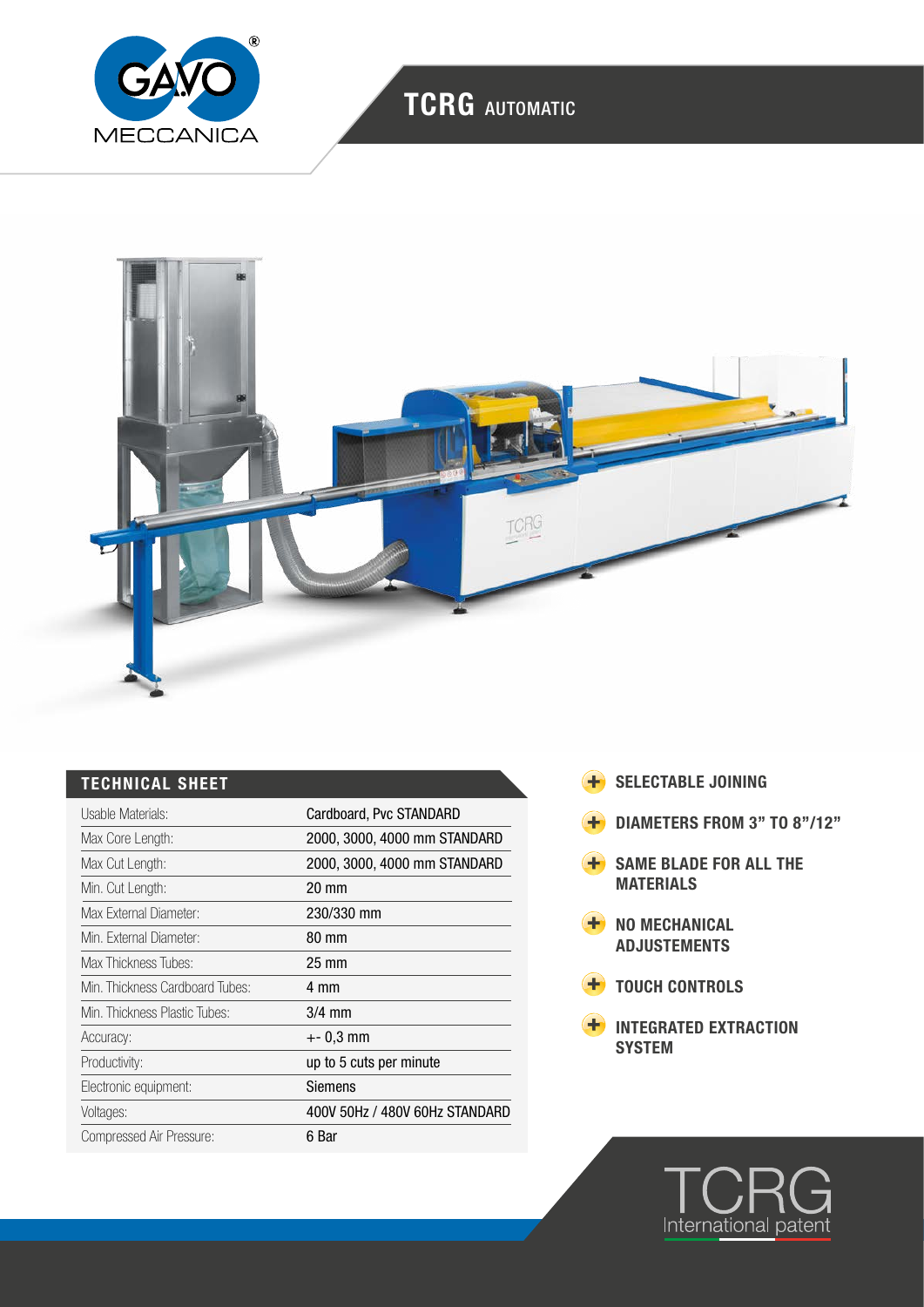

# TCRG AUTOMATIC



## TECHNICAL SHEET

| Usable Materials:               | Cardboard, Pvc STANDARD        |
|---------------------------------|--------------------------------|
| Max Core Length:                | 2000, 3000, 4000 mm STANDARD   |
| Max Cut Length:                 | 2000, 3000, 4000 mm STANDARD   |
| Min. Cut Length:                | $20 \text{ mm}$                |
| Max External Diameter:          | 230/330 mm                     |
| Min. External Diameter:         | 80 mm                          |
| Max Thickness Tubes:            | $25 \text{ mm}$                |
| Min. Thickness Cardboard Tubes: | 4 mm                           |
| Min. Thickness Plastic Tubes:   | $3/4$ mm                       |
| Accuracy:                       | $+-0.3$ mm                     |
| Productivity:                   | up to 5 cuts per minute        |
| Electronic equipment:           | Siemens                        |
| Voltages:                       | 400V 50Hz / 480V 60Hz STANDARD |
| Compressed Air Pressure:        | 6 Bar                          |

- **+** SELECTABLE JOINING
- **+** DIAMETERS FROM 3" TO 8"/12"
- **H** SAME BLADE FOR ALL THE MATERIALS
- **+** NO MECHANICAL ADJUSTEMENTS
- **+** TOUCH CONTROLS
- INTEGRATED EXTRACTION **SYSTEM**